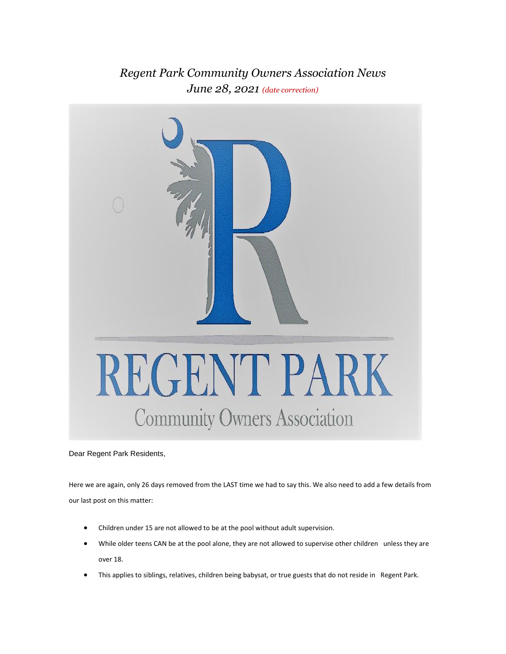## *Regent Park Community Owners Association News June 28, 2021 (date correction)*



Dear Regent Park Residents,

Here we are again, only 26 days removed from the LAST time we had to say this. We also need to add a few details from our last post on this matter:

- Children under 15 are not allowed to be at the pool without adult supervision.
- While older teens CAN be at the pool alone, they are not allowed to supervise other children unless they are over 18.
- This applies to siblings, relatives, children being babysat, or true guests that do not reside in Regent Park.